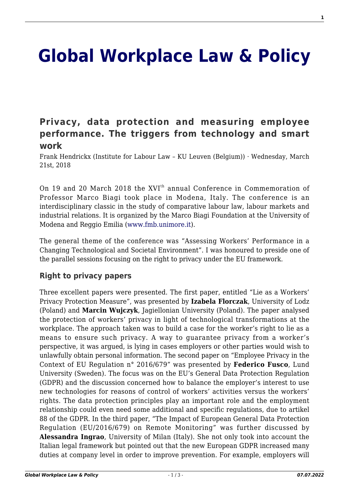## **[Global Workplace Law & Policy](http://global-workplace-law-and-policy.kluwerlawonline.com/)**

## **[Privacy, data protection and measuring employee](http://global-workplace-law-and-policy.kluwerlawonline.com/2018/03/21/privacy-data-protection-and-measuring-employee-performance-the-triggers-from-technology-and-smart-work/) [performance. The triggers from technology and smart](http://global-workplace-law-and-policy.kluwerlawonline.com/2018/03/21/privacy-data-protection-and-measuring-employee-performance-the-triggers-from-technology-and-smart-work/) [work](http://global-workplace-law-and-policy.kluwerlawonline.com/2018/03/21/privacy-data-protection-and-measuring-employee-performance-the-triggers-from-technology-and-smart-work/)**

Frank Hendrickx (Institute for Labour Law – KU Leuven (Belgium)) · Wednesday, March 21st, 2018

On 19 and 20 March 2018 the XVI<sup>th</sup> annual Conference in Commemoration of Professor Marco Biagi took place in Modena, Italy. The conference is an interdisciplinary classic in the study of comparative labour law, labour markets and industrial relations. It is organized by the Marco Biagi Foundation at the University of Modena and Reggio Emilia [\(www.fmb.unimore.it\)](http://www.fmb.unimore.it/).

The general theme of the conference was "Assessing Workers' Performance in a Changing Technological and Societal Environment". I was honoured to preside one of the parallel sessions focusing on the right to privacy under the EU framework.

## **Right to privacy papers**

Three excellent papers were presented. The first paper, entitled "Lie as a Workers' Privacy Protection Measure", was presented by **Izabela Florczak**, University of Lodz (Poland) and **Marcin Wujczyk**, Jagiellonian University (Poland). The paper analysed the protection of workers' privacy in light of technological transformations at the workplace. The approach taken was to build a case for the worker's right to lie as a means to ensure such privacy. A way to guarantee privacy from a worker's perspective, it was argued, is lying in cases employers or other parties would wish to unlawfully obtain personal information. The second paper on "Employee Privacy in the Context of EU Regulation n° 2016/679" was presented by **Federico Fusco**, Lund University (Sweden). The focus was on the EU's General Data Protection Regulation (GDPR) and the discussion concerned how to balance the employer's interest to use new technologies for reasons of control of workers' activities versus the workers' rights. The data protection principles play an important role and the employment relationship could even need some additional and specific regulations, due to artikel 88 of the GDPR. In the third paper, "The Impact of European General Data Protection Regulation (EU/2016/679) on Remote Monitoring" was further discussed by **Alessandra Ingrao**, University of Milan (Italy). She not only took into account the Italian legal framework but pointed out that the new European GDPR increased many duties at company level in order to improve prevention. For example, employers will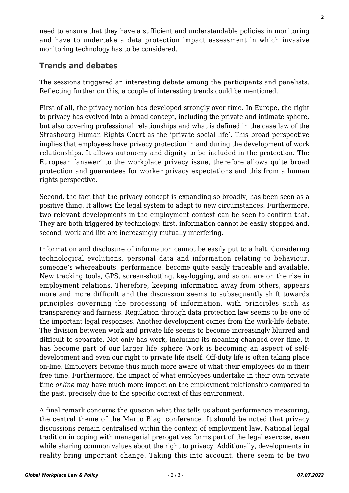need to ensure that they have a sufficient and understandable policies in monitoring and have to undertake a data protection impact assessment in which invasive monitoring technology has to be considered.

## **Trends and debates**

The sessions triggered an interesting debate among the participants and panelists. Reflecting further on this, a couple of interesting trends could be mentioned.

First of all, the privacy notion has developed strongly over time. In Europe, the right to privacy has evolved into a broad concept, including the private and intimate sphere, but also covering professional relationships and what is defined in the case law of the Strasbourg Human Rights Court as the 'private social life'. This broad perspective implies that employees have privacy protection in and during the development of work relationships. It allows autonomy and dignity to be included in the protection. The European 'answer' to the workplace privacy issue, therefore allows quite broad protection and guarantees for worker privacy expectations and this from a human rights perspective.

Second, the fact that the privacy concept is expanding so broadly, has been seen as a positive thing. It allows the legal system to adapt to new circumstances. Furthermore, two relevant developments in the employment context can be seen to confirm that. They are both triggered by technology: first, information cannot be easily stopped and, second, work and life are increasingly mutually interfering.

Information and disclosure of information cannot be easily put to a halt. Considering technological evolutions, personal data and information relating to behaviour, someone's whereabouts, performance, become quite easily traceable and available. New tracking tools, GPS, screen-shotting, key-logging, and so on, are on the rise in employment relations. Therefore, keeping information away from others, appears more and more difficult and the discussion seems to subsequently shift towards principles governing the processing of information, with principles such as transparency and fairness. Regulation through data protection law seems to be one of the important legal responses. Another development comes from the work-life debate. The division between work and private life seems to become increasingly blurred and difficult to separate. Not only has work, including its meaning changed over time, it has become part of our larger life sphere Work is becoming an aspect of selfdevelopment and even our right to private life itself. Off-duty life is often taking place on-line. Employers become thus much more aware of what their employees do in their free time. Furthermore, the impact of what employees undertake in their own private time *online* may have much more impact on the employment relationship compared to the past, precisely due to the specific context of this environment.

A final remark concerns the quesion what this tells us about performance measuring, the central theme of the Marco Biagi conference. It should be noted that privacy discussions remain centralised within the context of employment law. National legal tradition in coping with managerial prerogatives forms part of the legal exercise, even while sharing common values about the right to privacy. Additionally, developments in reality bring important change. Taking this into account, there seem to be two